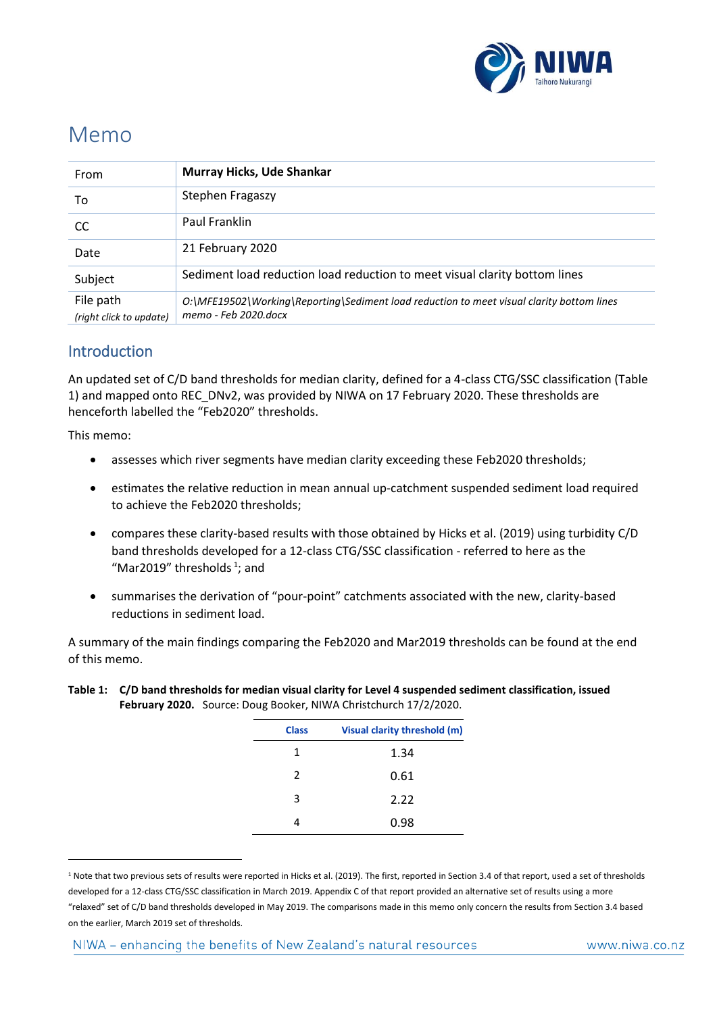

# Memo

| From                                 | <b>Murray Hicks, Ude Shankar</b>                                                                                  |  |
|--------------------------------------|-------------------------------------------------------------------------------------------------------------------|--|
| To                                   | Stephen Fragaszy                                                                                                  |  |
| <sub>CC</sub>                        | Paul Franklin                                                                                                     |  |
| Date                                 | 21 February 2020                                                                                                  |  |
| Subject                              | Sediment load reduction load reduction to meet visual clarity bottom lines                                        |  |
| File path<br>(right click to update) | O:\MFE19502\Working\Reporting\Sediment load reduction to meet visual clarity bottom lines<br>memo - Feb 2020.docx |  |

### Introduction

An updated set of C/D band thresholds for median clarity, defined for a 4-class CTG/SSC classification (Table 1) and mapped onto REC\_DNv2, was provided by NIWA on 17 February 2020. These thresholds are henceforth labelled the "Feb2020" thresholds.

This memo:

- assesses which river segments have median clarity exceeding these Feb2020 thresholds;
- estimates the relative reduction in mean annual up-catchment suspended sediment load required to achieve the Feb2020 thresholds;
- compares these clarity-based results with those obtained by Hicks et al. (2019) using turbidity C/D band thresholds developed for a 12-class CTG/SSC classification - referred to here as the "Mar2019" thresholds $<sup>1</sup>$ ; and</sup>
- summarises the derivation of "pour-point" catchments associated with the new, clarity-based reductions in sediment load.

A summary of the main findings comparing the Feb2020 and Mar2019 thresholds can be found at the end of this memo.

| Table 1: C/D band thresholds for median visual clarity for Level 4 suspended sediment classification, issued |                                                                  |  |
|--------------------------------------------------------------------------------------------------------------|------------------------------------------------------------------|--|
|                                                                                                              | February 2020. Source: Doug Booker, NIWA Christchurch 17/2/2020. |  |

| <b>Class</b>  | Visual clarity threshold (m) |
|---------------|------------------------------|
| 1             | 1.34                         |
| $\mathcal{P}$ | 0.61                         |
| 3             | 2.22                         |
| 4             | 0.98                         |

<sup>&</sup>lt;sup>1</sup> Note that two previous sets of results were reported in Hicks et al. (2019). The first, reported in Section 3.4 of that report, used a set of thresholds developed for a 12-class CTG/SSC classification in March 2019. Appendix C of that report provided an alternative set of results using a more "relaxed" set of C/D band thresholds developed in May 2019. The comparisons made in this memo only concern the results from Section 3.4 based on the earlier, March 2019 set of thresholds.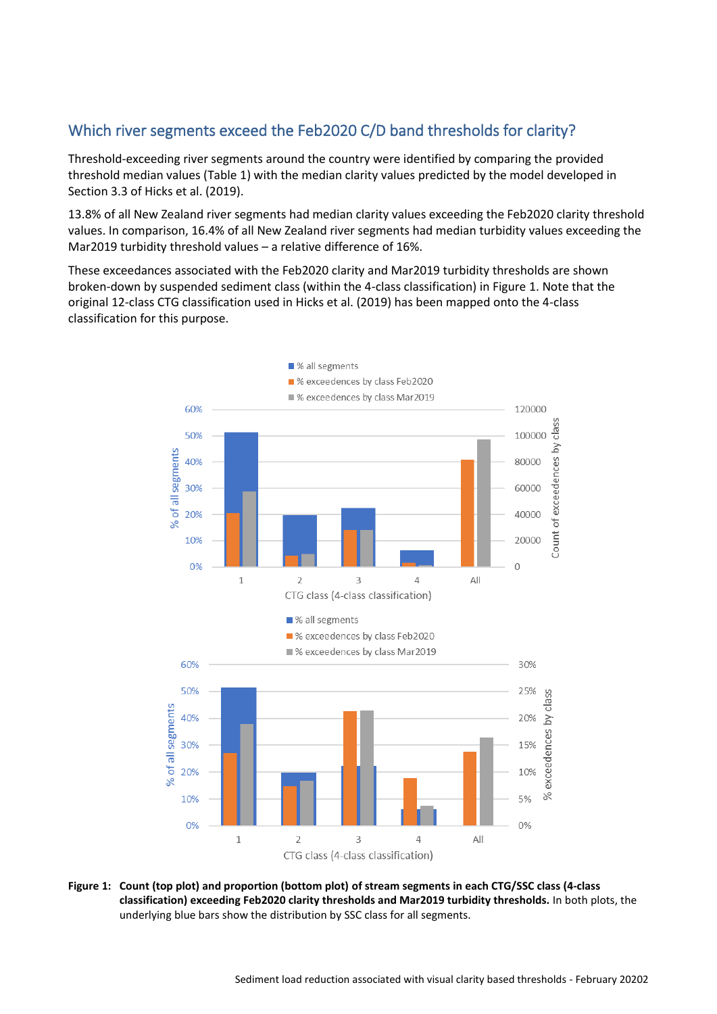## Which river segments exceed the Feb2020 C/D band thresholds for clarity?

Threshold-exceeding river segments around the country were identified by comparing the provided threshold median values (Table 1) with the median clarity values predicted by the model developed in Section 3.3 of Hicks et al. (2019).

13.8% of all New Zealand river segments had median clarity values exceeding the Feb2020 clarity threshold values. In comparison, 16.4% of all New Zealand river segments had median turbidity values exceeding the Mar2019 turbidity threshold values – a relative difference of 16%.

These exceedances associated with the Feb2020 clarity and Mar2019 turbidity thresholds are shown broken-down by suspended sediment class (within the 4-class classification) in Figure 1. Note that the original 12-class CTG classification used in Hicks et al. (2019) has been mapped onto the 4-class classification for this purpose.



**Figure 1: Count (top plot) and proportion (bottom plot) of stream segments in each CTG/SSC class (4-class classification) exceeding Feb2020 clarity thresholds and Mar2019 turbidity thresholds.** In both plots, the underlying blue bars show the distribution by SSC class for all segments.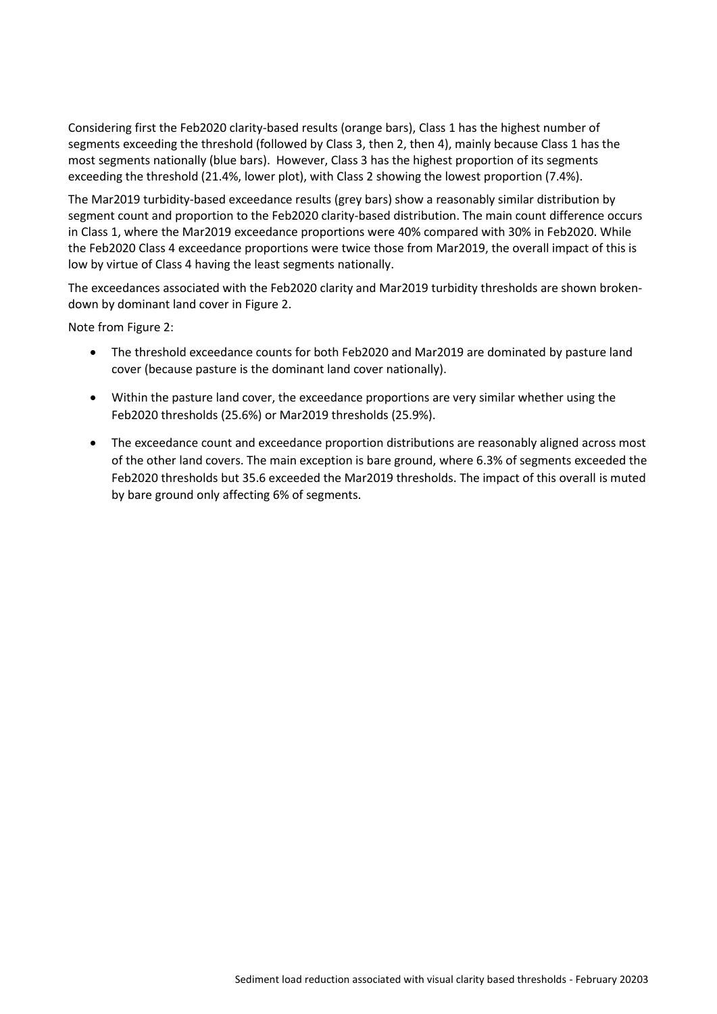Considering first the Feb2020 clarity-based results (orange bars), Class 1 has the highest number of segments exceeding the threshold (followed by Class 3, then 2, then 4), mainly because Class 1 has the most segments nationally (blue bars). However, Class 3 has the highest proportion of its segments exceeding the threshold (21.4%, lower plot), with Class 2 showing the lowest proportion (7.4%).

The Mar2019 turbidity-based exceedance results (grey bars) show a reasonably similar distribution by segment count and proportion to the Feb2020 clarity-based distribution. The main count difference occurs in Class 1, where the Mar2019 exceedance proportions were 40% compared with 30% in Feb2020. While the Feb2020 Class 4 exceedance proportions were twice those from Mar2019, the overall impact of this is low by virtue of Class 4 having the least segments nationally.

The exceedances associated with the Feb2020 clarity and Mar2019 turbidity thresholds are shown brokendown by dominant land cover in Figure 2.

Note from Figure 2:

- The threshold exceedance counts for both Feb2020 and Mar2019 are dominated by pasture land cover (because pasture is the dominant land cover nationally).
- Within the pasture land cover, the exceedance proportions are very similar whether using the Feb2020 thresholds (25.6%) or Mar2019 thresholds (25.9%).
- The exceedance count and exceedance proportion distributions are reasonably aligned across most of the other land covers. The main exception is bare ground, where 6.3% of segments exceeded the Feb2020 thresholds but 35.6 exceeded the Mar2019 thresholds. The impact of this overall is muted by bare ground only affecting 6% of segments.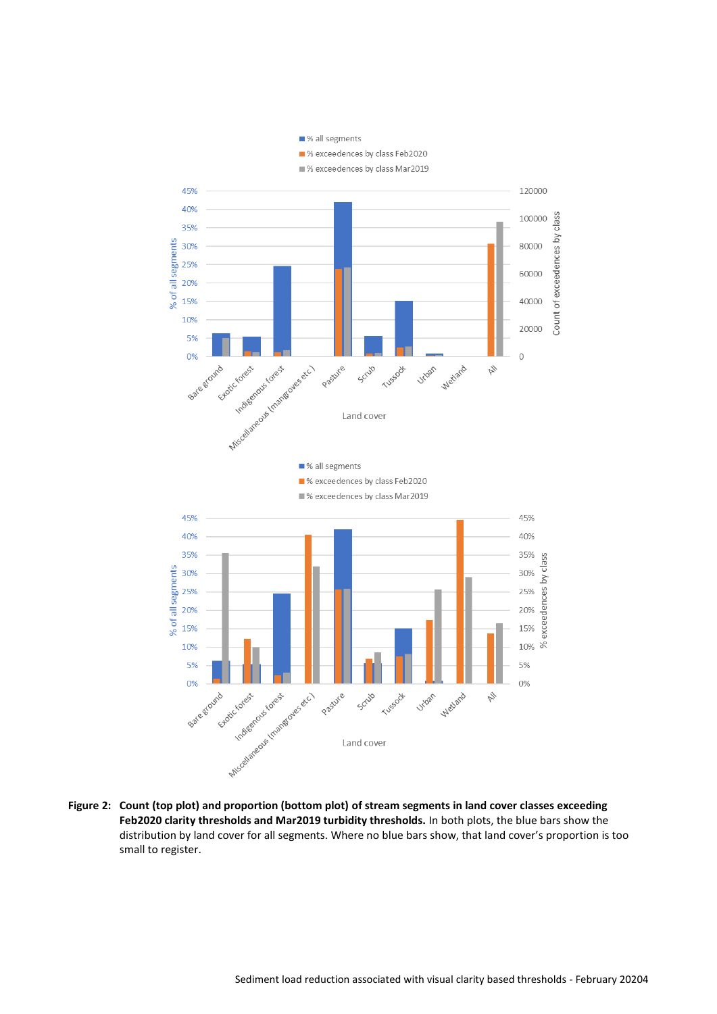

**Figure 2: Count (top plot) and proportion (bottom plot) of stream segments in land cover classes exceeding Feb2020 clarity thresholds and Mar2019 turbidity thresholds.** In both plots, the blue bars show the distribution by land cover for all segments. Where no blue bars show, that land cover's proportion is too small to register.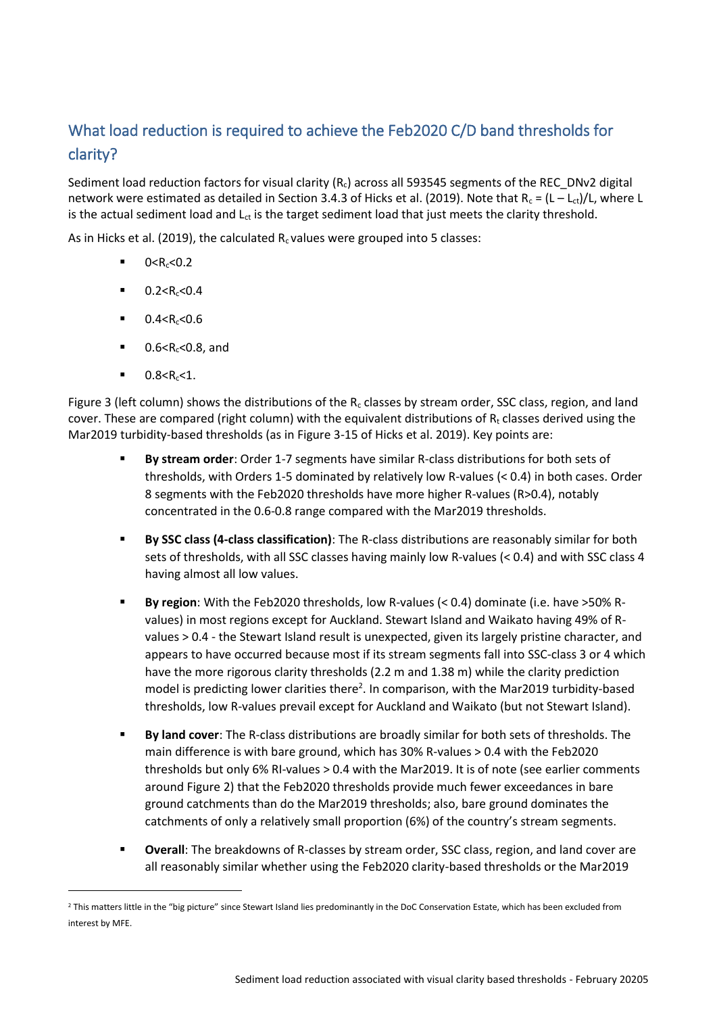## What load reduction is required to achieve the Feb2020 C/D band thresholds for clarity?

Sediment load reduction factors for visual clarity  $(R_c)$  across all 593545 segments of the REC\_DNv2 digital network were estimated as detailed in Section 3.4.3 of Hicks et al. (2019). Note that  $R_c = (L - L_{ct})/L$ , where L is the actual sediment load and  $L_{ct}$  is the target sediment load that just meets the clarity threshold.

As in Hicks et al. (2019), the calculated  $R_c$  values were grouped into 5 classes:

- $0 < R_c < 0.2$
- $0.2 < R_c < 0.4$
- $0.4 < R_c < 0.6$
- $0.6 < R_c < 0.8$ , and
- $0.8 < R_c < 1$ .

Figure 3 (left column) shows the distributions of the  $R_c$  classes by stream order, SSC class, region, and land cover. These are compared (right column) with the equivalent distributions of  $R_t$  classes derived using the Mar2019 turbidity-based thresholds (as in Figure 3-15 of Hicks et al. 2019). Key points are:

- **By stream order**: Order 1-7 segments have similar R-class distributions for both sets of thresholds, with Orders 1-5 dominated by relatively low R-values (< 0.4) in both cases. Order 8 segments with the Feb2020 thresholds have more higher R-values (R>0.4), notably concentrated in the 0.6-0.8 range compared with the Mar2019 thresholds.
- **By SSC class (4-class classification)**: The R-class distributions are reasonably similar for both sets of thresholds, with all SSC classes having mainly low R-values (< 0.4) and with SSC class 4 having almost all low values.
- **By region**: With the Feb2020 thresholds, low R-values (< 0.4) dominate (i.e. have >50% Rvalues) in most regions except for Auckland. Stewart Island and Waikato having 49% of Rvalues > 0.4 - the Stewart Island result is unexpected, given its largely pristine character, and appears to have occurred because most if its stream segments fall into SSC-class 3 or 4 which have the more rigorous clarity thresholds (2.2 m and 1.38 m) while the clarity prediction model is predicting lower clarities there<sup>2</sup>. In comparison, with the Mar2019 turbidity-based thresholds, low R-values prevail except for Auckland and Waikato (but not Stewart Island).
- **By land cover**: The R-class distributions are broadly similar for both sets of thresholds. The main difference is with bare ground, which has 30% R-values > 0.4 with the Feb2020 thresholds but only 6% RI-values > 0.4 with the Mar2019. It is of note (see earlier comments around Figure 2) that the Feb2020 thresholds provide much fewer exceedances in bare ground catchments than do the Mar2019 thresholds; also, bare ground dominates the catchments of only a relatively small proportion (6%) of the country's stream segments.
- **Overall:** The breakdowns of R-classes by stream order, SSC class, region, and land cover are all reasonably similar whether using the Feb2020 clarity-based thresholds or the Mar2019

<sup>&</sup>lt;sup>2</sup> This matters little in the "big picture" since Stewart Island lies predominantly in the DoC Conservation Estate, which has been excluded from interest by MFE.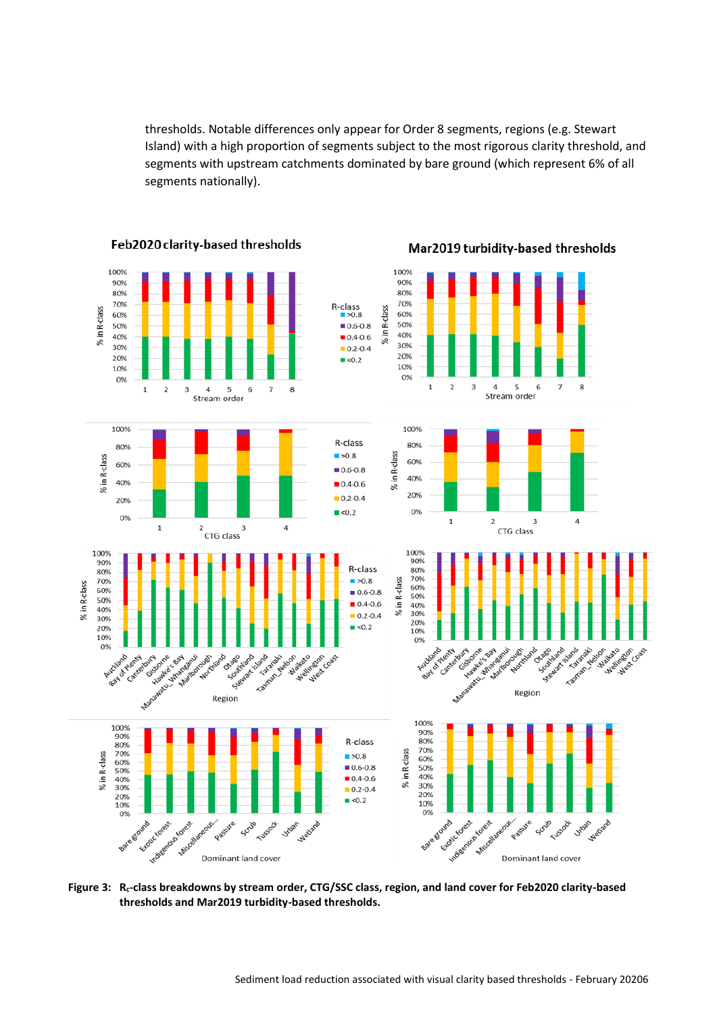thresholds. Notable differences only appear for Order 8 segments, regions (e.g. Stewart Island) with a high proportion of segments subject to the most rigorous clarity threshold, and segments with upstream catchments dominated by bare ground (which represent 6% of all segments nationally).



**Figure 3: Rc-class breakdowns by stream order, CTG/SSC class, region, and land cover for Feb2020 clarity-based thresholds and Mar2019 turbidity-based thresholds.**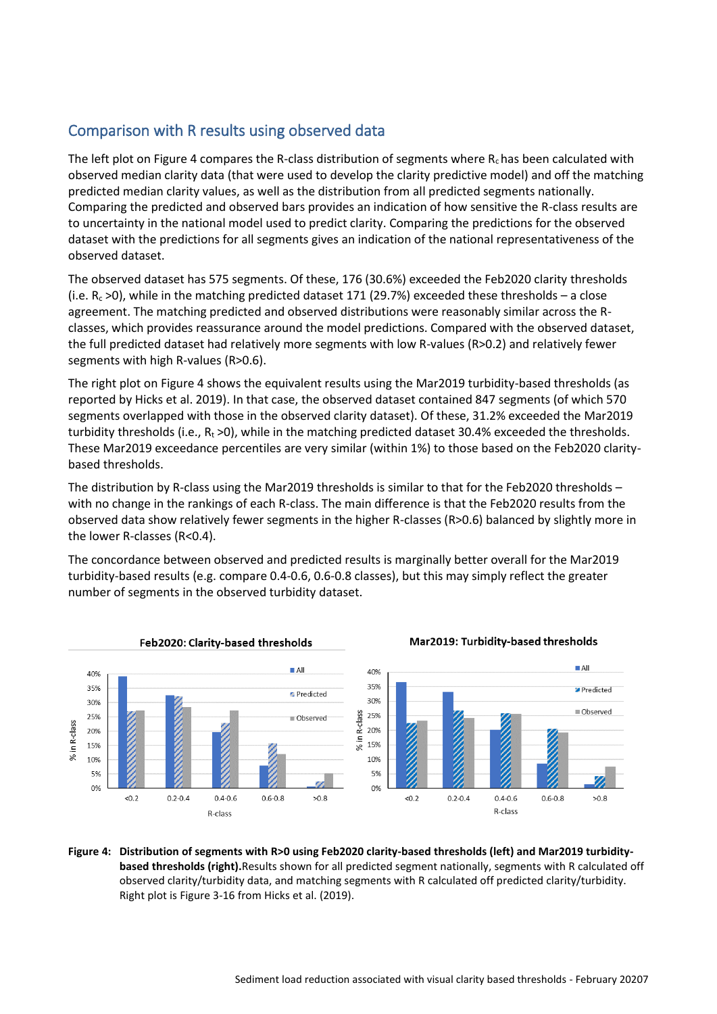## Comparison with R results using observed data

The left plot on Figure 4 compares the R-class distribution of segments where  $R_c$  has been calculated with observed median clarity data (that were used to develop the clarity predictive model) and off the matching predicted median clarity values, as well as the distribution from all predicted segments nationally. Comparing the predicted and observed bars provides an indication of how sensitive the R-class results are to uncertainty in the national model used to predict clarity. Comparing the predictions for the observed dataset with the predictions for all segments gives an indication of the national representativeness of the observed dataset.

The observed dataset has 575 segments. Of these, 176 (30.6%) exceeded the Feb2020 clarity thresholds (i.e.  $R_c > 0$ ), while in the matching predicted dataset 171 (29.7%) exceeded these thresholds – a close agreement. The matching predicted and observed distributions were reasonably similar across the Rclasses, which provides reassurance around the model predictions. Compared with the observed dataset, the full predicted dataset had relatively more segments with low R-values (R>0.2) and relatively fewer segments with high R-values (R>0.6).

The right plot on Figure 4 shows the equivalent results using the Mar2019 turbidity-based thresholds (as reported by Hicks et al. 2019). In that case, the observed dataset contained 847 segments (of which 570 segments overlapped with those in the observed clarity dataset). Of these, 31.2% exceeded the Mar2019 turbidity thresholds (i.e.,  $R_t > 0$ ), while in the matching predicted dataset 30.4% exceeded the thresholds. These Mar2019 exceedance percentiles are very similar (within 1%) to those based on the Feb2020 claritybased thresholds.

The distribution by R-class using the Mar2019 thresholds is similar to that for the Feb2020 thresholds – with no change in the rankings of each R-class. The main difference is that the Feb2020 results from the observed data show relatively fewer segments in the higher R-classes (R>0.6) balanced by slightly more in the lower R-classes (R<0.4).

The concordance between observed and predicted results is marginally better overall for the Mar2019 turbidity-based results (e.g. compare 0.4-0.6, 0.6-0.8 classes), but this may simply reflect the greater number of segments in the observed turbidity dataset.



#### Mar2019: Turbidity-based thresholds

#### **Figure 4: Distribution of segments with R>0 using Feb2020 clarity-based thresholds (left) and Mar2019 turbiditybased thresholds (right).**Results shown for all predicted segment nationally, segments with R calculated off observed clarity/turbidity data, and matching segments with R calculated off predicted clarity/turbidity. Right plot is Figure 3-16 from Hicks et al. (2019).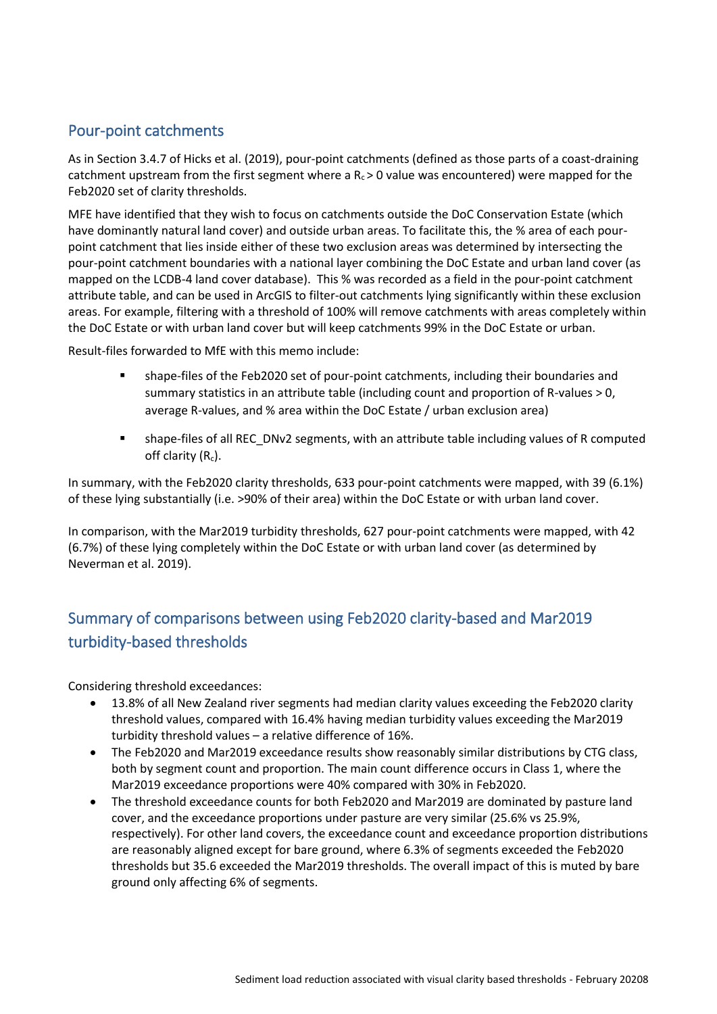## Pour-point catchments

As in Section 3.4.7 of Hicks et al. (2019), pour-point catchments (defined as those parts of a coast-draining catchment upstream from the first segment where a  $R_c > 0$  value was encountered) were mapped for the Feb2020 set of clarity thresholds.

MFE have identified that they wish to focus on catchments outside the DoC Conservation Estate (which have dominantly natural land cover) and outside urban areas. To facilitate this, the % area of each pourpoint catchment that lies inside either of these two exclusion areas was determined by intersecting the pour-point catchment boundaries with a national layer combining the DoC Estate and urban land cover (as mapped on the LCDB-4 land cover database). This % was recorded as a field in the pour-point catchment attribute table, and can be used in ArcGIS to filter-out catchments lying significantly within these exclusion areas. For example, filtering with a threshold of 100% will remove catchments with areas completely within the DoC Estate or with urban land cover but will keep catchments 99% in the DoC Estate or urban.

Result-files forwarded to MfE with this memo include:

- shape-files of the Feb2020 set of pour-point catchments, including their boundaries and summary statistics in an attribute table (including count and proportion of R-values > 0, average R-values, and % area within the DoC Estate / urban exclusion area)
- shape-files of all REC\_DNv2 segments, with an attribute table including values of R computed off clarity  $(R_c)$ .

In summary, with the Feb2020 clarity thresholds, 633 pour-point catchments were mapped, with 39 (6.1%) of these lying substantially (i.e. >90% of their area) within the DoC Estate or with urban land cover.

In comparison, with the Mar2019 turbidity thresholds, 627 pour-point catchments were mapped, with 42 (6.7%) of these lying completely within the DoC Estate or with urban land cover (as determined by Neverman et al. 2019).

## Summary of comparisons between using Feb2020 clarity-based and Mar2019 turbidity-based thresholds

Considering threshold exceedances:

- 13.8% of all New Zealand river segments had median clarity values exceeding the Feb2020 clarity threshold values, compared with 16.4% having median turbidity values exceeding the Mar2019 turbidity threshold values – a relative difference of 16%.
- The Feb2020 and Mar2019 exceedance results show reasonably similar distributions by CTG class, both by segment count and proportion. The main count difference occurs in Class 1, where the Mar2019 exceedance proportions were 40% compared with 30% in Feb2020.
- The threshold exceedance counts for both Feb2020 and Mar2019 are dominated by pasture land cover, and the exceedance proportions under pasture are very similar (25.6% vs 25.9%, respectively). For other land covers, the exceedance count and exceedance proportion distributions are reasonably aligned except for bare ground, where 6.3% of segments exceeded the Feb2020 thresholds but 35.6 exceeded the Mar2019 thresholds. The overall impact of this is muted by bare ground only affecting 6% of segments.